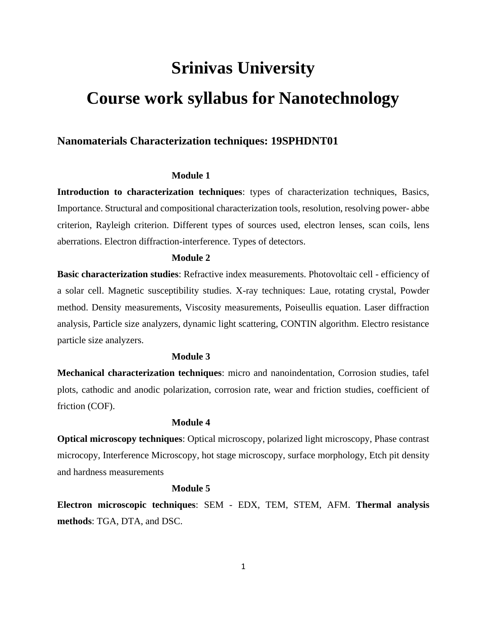# **Srinivas University Course work syllabus for Nanotechnology**

# **Nanomaterials Characterization techniques: 19SPHDNT01**

# **Module 1**

**Introduction to characterization techniques**: types of characterization techniques, Basics, Importance. Structural and compositional characterization tools, resolution, resolving power- abbe criterion, Rayleigh criterion. Different types of sources used, electron lenses, scan coils, lens aberrations. Electron diffraction-interference. Types of detectors.

## **Module 2**

**Basic characterization studies**: Refractive index measurements. Photovoltaic cell - efficiency of a solar cell. Magnetic susceptibility studies. X-ray techniques: Laue, rotating crystal, Powder method. Density measurements, Viscosity measurements, Poiseullis equation. Laser diffraction analysis, Particle size analyzers, dynamic light scattering, CONTIN algorithm. Electro resistance particle size analyzers.

#### **Module 3**

**Mechanical characterization techniques**: micro and nanoindentation, Corrosion studies, tafel plots, cathodic and anodic polarization, corrosion rate, wear and friction studies, coefficient of friction (COF).

#### **Module 4**

**Optical microscopy techniques**: Optical microscopy, polarized light microscopy, Phase contrast microcopy, Interference Microscopy, hot stage microscopy, surface morphology, Etch pit density and hardness measurements

#### **Module 5**

**Electron microscopic techniques**: SEM - EDX, TEM, STEM, AFM. **Thermal analysis methods**: TGA, DTA, and DSC.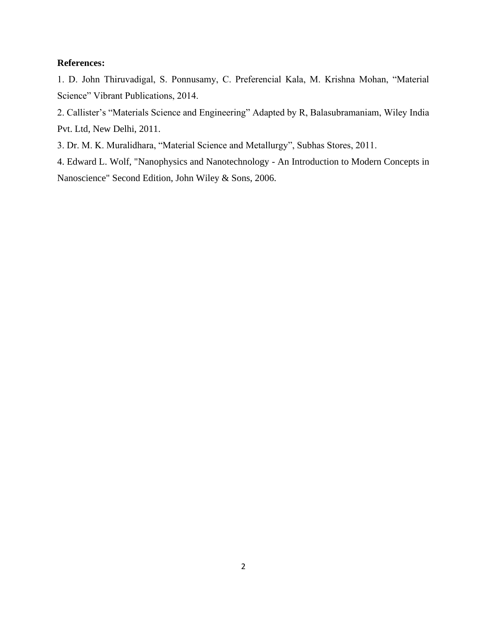# **References:**

1. D. John Thiruvadigal, S. Ponnusamy, C. Preferencial Kala, M. Krishna Mohan, "Material Science" Vibrant Publications, 2014.

2. Callister's "Materials Science and Engineering" Adapted by R, Balasubramaniam, Wiley India Pvt. Ltd, New Delhi, 2011.

3. Dr. M. K. Muralidhara, "Material Science and Metallurgy", Subhas Stores, 2011.

4. Edward L. Wolf, "Nanophysics and Nanotechnology - An Introduction to Modern Concepts in Nanoscience" Second Edition, John Wiley & Sons, 2006.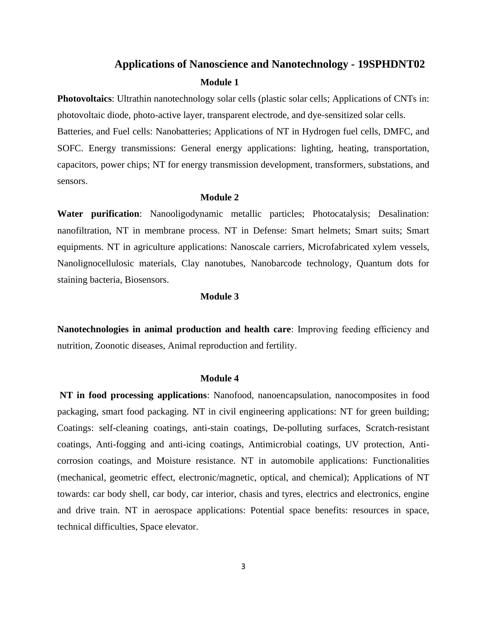# **Applications of Nanoscience and Nanotechnology - 19SPHDNT02 Module 1**

**Photovoltaics**: Ultrathin nanotechnology solar cells (plastic solar cells; Applications of CNTs in: photovoltaic diode, photo-active layer, transparent electrode, and dye-sensitized solar cells.

Batteries, and Fuel cells: Nanobatteries; Applications of NT in Hydrogen fuel cells, DMFC, and SOFC. Energy transmissions: General energy applications: lighting, heating, transportation, capacitors, power chips; NT for energy transmission development, transformers, substations, and sensors.

#### **Module 2**

**Water purification**: Nanooligodynamic metallic particles; Photocatalysis; Desalination: nanofiltration, NT in membrane process. NT in Defense: Smart helmets; Smart suits; Smart equipments. NT in agriculture applications: Nanoscale carriers, Microfabricated xylem vessels, Nanolignocellulosic materials, Clay nanotubes, Nanobarcode technology, Quantum dots for staining bacteria, Biosensors.

#### **Module 3**

**Nanotechnologies in animal production and health care**: Improving feeding efficiency and nutrition, Zoonotic diseases, Animal reproduction and fertility.

#### **Module 4**

**NT in food processing applications**: Nanofood, nanoencapsulation, nanocomposites in food packaging, smart food packaging. NT in civil engineering applications: NT for green building; Coatings: self-cleaning coatings, anti-stain coatings, De-polluting surfaces, Scratch-resistant coatings, Anti-fogging and anti-icing coatings, Antimicrobial coatings, UV protection, Anticorrosion coatings, and Moisture resistance. NT in automobile applications: Functionalities (mechanical, geometric effect, electronic/magnetic, optical, and chemical); Applications of NT towards: car body shell, car body, car interior, chasis and tyres, electrics and electronics, engine and drive train. NT in aerospace applications: Potential space benefits: resources in space, technical difficulties, Space elevator.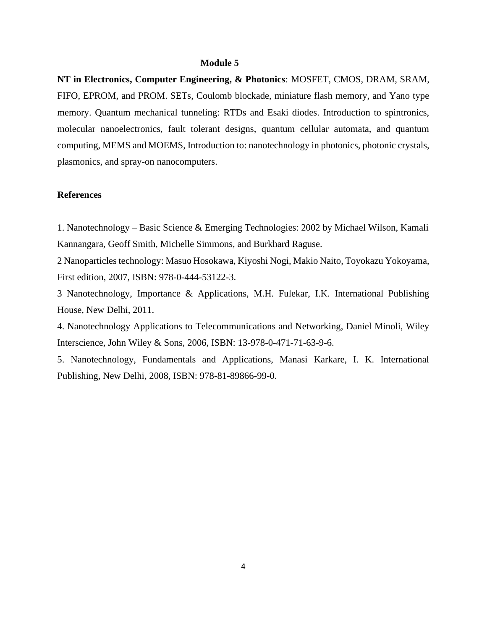#### **Module 5**

**NT in Electronics, Computer Engineering, & Photonics**: MOSFET, CMOS, DRAM, SRAM, FIFO, EPROM, and PROM. SETs, Coulomb blockade, miniature flash memory, and Yano type memory. Quantum mechanical tunneling: RTDs and Esaki diodes. Introduction to spintronics, molecular nanoelectronics, fault tolerant designs, quantum cellular automata, and quantum computing, MEMS and MOEMS, Introduction to: nanotechnology in photonics, photonic crystals, plasmonics, and spray-on nanocomputers.

## **References**

1. Nanotechnology – Basic Science & Emerging Technologies: 2002 by Michael Wilson, Kamali Kannangara, Geoff Smith, Michelle Simmons, and Burkhard Raguse.

2 Nanoparticles technology: Masuo Hosokawa, Kiyoshi Nogi, Makio Naito, Toyokazu Yokoyama, First edition, 2007, ISBN: 978-0-444-53122-3.

3 Nanotechnology, Importance & Applications, M.H. Fulekar, I.K. International Publishing House, New Delhi, 2011.

4. Nanotechnology Applications to Telecommunications and Networking, Daniel Minoli, Wiley Interscience, John Wiley & Sons, 2006, ISBN: 13-978-0-471-71-63-9-6.

5. Nanotechnology, Fundamentals and Applications, Manasi Karkare, I. K. International Publishing, New Delhi, 2008, ISBN: 978-81-89866-99-0.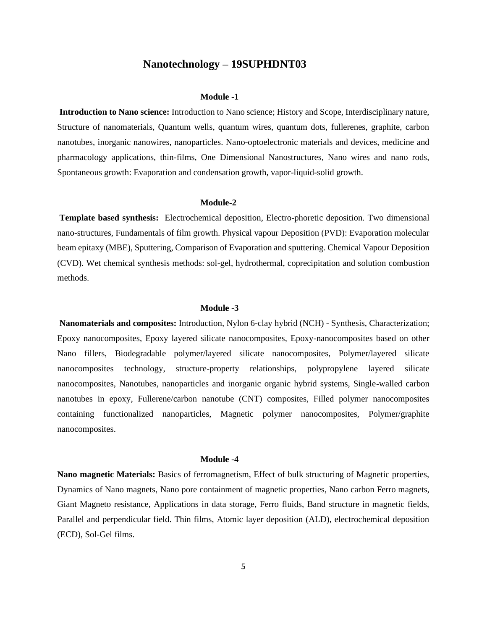# **Nanotechnology – 19SUPHDNT03**

#### **Module -1**

**Introduction to Nano science:** Introduction to Nano science; History and Scope, Interdisciplinary nature, Structure of nanomaterials, Quantum wells, quantum wires, quantum dots, fullerenes, graphite, carbon nanotubes, inorganic nanowires, nanoparticles. Nano-optoelectronic materials and devices, medicine and pharmacology applications, thin-films, One Dimensional Nanostructures, Nano wires and nano rods, Spontaneous growth: Evaporation and condensation growth, vapor-liquid-solid growth.

#### **Module-2**

**Template based synthesis:** Electrochemical deposition, Electro-phoretic deposition. Two dimensional nano-structures, Fundamentals of film growth. Physical vapour Deposition (PVD): Evaporation molecular beam epitaxy (MBE), Sputtering, Comparison of Evaporation and sputtering. Chemical Vapour Deposition (CVD). Wet chemical synthesis methods: sol-gel, hydrothermal, coprecipitation and solution combustion methods.

#### **Module -3**

**Nanomaterials and composites:** Introduction, Nylon 6-clay hybrid (NCH) - Synthesis, Characterization; Epoxy nanocomposites, Epoxy layered silicate nanocomposites, Epoxy-nanocomposites based on other Nano fillers, Biodegradable polymer/layered silicate nanocomposites, Polymer/layered silicate nanocomposites technology, structure-property relationships, polypropylene layered silicate nanocomposites, Nanotubes, nanoparticles and inorganic organic hybrid systems, Single-walled carbon nanotubes in epoxy, Fullerene/carbon nanotube (CNT) composites, Filled polymer nanocomposites containing functionalized nanoparticles, Magnetic polymer nanocomposites, Polymer/graphite nanocomposites.

#### **Module -4**

**Nano magnetic Materials:** Basics of ferromagnetism, Effect of bulk structuring of Magnetic properties, Dynamics of Nano magnets, Nano pore containment of magnetic properties, Nano carbon Ferro magnets, Giant Magneto resistance, Applications in data storage, Ferro fluids, Band structure in magnetic fields, Parallel and perpendicular field. Thin films, Atomic layer deposition (ALD), electrochemical deposition (ECD), Sol-Gel films.